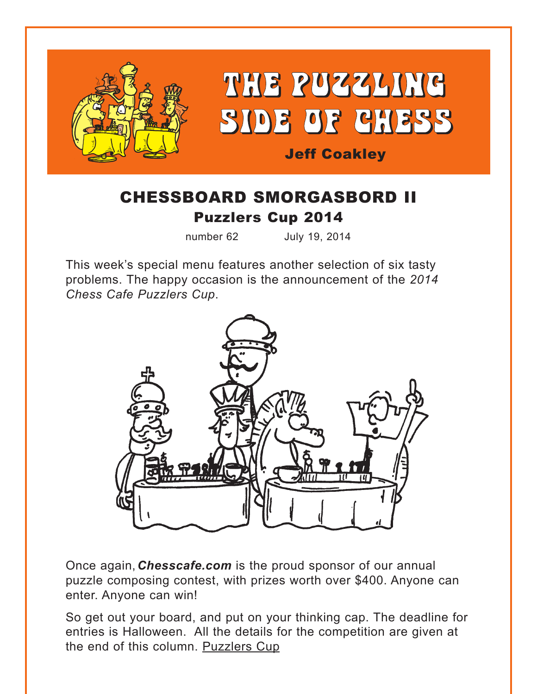<span id="page-0-0"></span>

# CHESSBOARD SMORGASBORD II [Puzzlers Cup 2014](#page-10-0)

number 62 July 19, 2014

This week's special menu features another selection of six tasty problems. The happy occasion is the announcement of the *2014 Chess Cafe Puzzlers Cup*.



Once again,*Chesscafe.com* is the proud sponsor of our annual puzzle composing contest, with prizes worth over \$400. Anyone can enter. Anyone can win!

So get out your board, and put on your thinking cap. The deadline for entries is Halloween. All the details for the competition are given at the end of this column. [Puzzlers Cup](#page-10-0)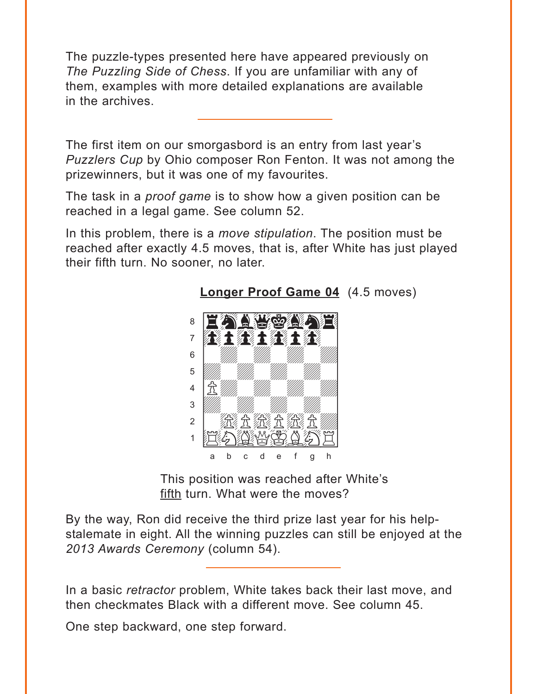<span id="page-1-0"></span>The puzzle-types presented here have appeared previously on The Puzzling Side of Chess. If you are unfamiliar with any of them, examples with more detailed explanations are available in the archives.

The first item on our smorgasbord is an entry from last year's Puzzlers Cup by Ohio composer Ron Fenton. It was not among the prizewinners, but it was one of my favourites.

The task in a *proof game* is to show how a given position can be reached in a legal game. See column 52.

In this problem, there is a move stipulation. The position must be reached after exactly 4.5 moves, that is, after White has just played their fifth turn. No sooner, no later.



**Longer Proof Game 04** (4.5 moves)

This position was reached after White's fifth turn. What were the moves?

By the way, Ron did receive the third prize last year for his helpstalemate in eight. All the winning puzzles can still be enjoyed at the 2013 Awards Ceremony (column 54).

In a basic retractor problem, White takes back their last move, and then checkmates Black with a different move. See column 45.

One step backward, one step forward.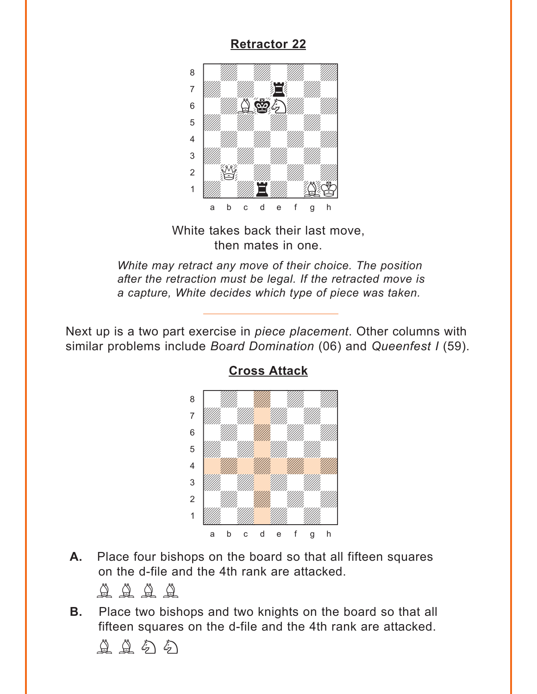### **[Retractor 22](#page-6-0)**

<span id="page-2-0"></span>

White takes back their last move, then mates in one.

*White may retract any move of their choice. The position after the retraction must be legal. If the retracted move is a capture, White decides which type of piece was taken.*

Next up is a two part exercise in *piece placement*. Other columns with similar problems include *Board Domination* (06) and *Queenfest I* (59).



**[Cross Attack](#page-6-0)**

**A.** Place four bishops on the board so that all fifteen squares on the d-file and the 4th rank are attacked.

 $\begin{smallmatrix} \Delta & \Delta & \Delta & \Delta \\ \Delta & \Delta & \Delta & \Delta \end{smallmatrix}$ 

**B.** Place two bishops and two knights on the board so that all fifteen squares on the d-file and the 4th rank are attacked.

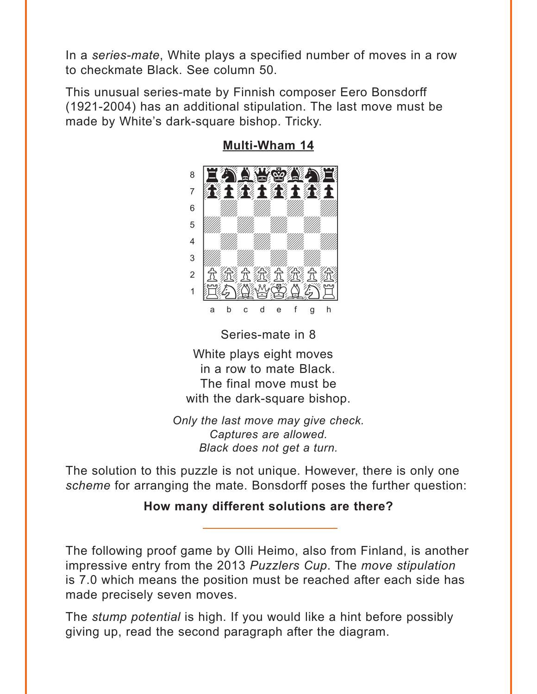<span id="page-3-0"></span>In a series-mate, White plays a specified number of moves in a row to checkmate Black. See column 50.

This unusual series-mate by Finnish composer Eero Bonsdorff (1921-2004) has an additional stipulation. The last move must be made by White's dark-square bishop. Tricky.



**Multi-Wham 14** 

Series-mate in 8 White plays eight moves in a row to mate Black. The final move must be with the dark-square bishop.

Only the last move may give check. Captures are allowed. Black does not get a turn.

The solution to this puzzle is not unique. However, there is only one scheme for arranging the mate. Bonsdorff poses the further question:

### How many different solutions are there?

The following proof game by Olli Heimo, also from Finland, is another impressive entry from the 2013 Puzzlers Cup. The move stipulation is 7.0 which means the position must be reached after each side has made precisely seven moves.

The *stump potential* is high. If you would like a hint before possibly giving up, read the second paragraph after the diagram.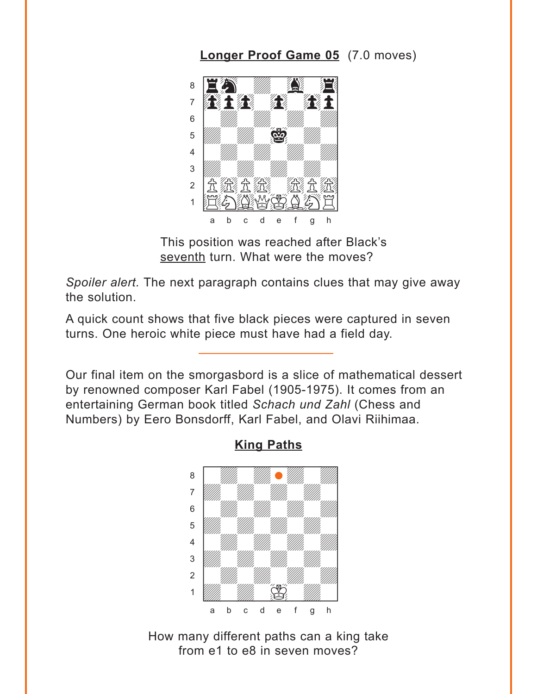**[Longer Proof Game 05](#page-8-0)** (7.0 moves)

<span id="page-4-0"></span>

This position was reached after Black's seventh turn. What were the moves?

*Spoiler alert.* The next paragraph contains clues that may give away the solution.

A quick count shows that five black pieces were captured in seven turns. One heroic white piece must have had a field day.

Our final item on the smorgasbord is a slice of mathematical dessert by renowned composer Karl Fabel (1905-1975). It comes from an entertaining German book titled *Schach und Zahl* (Chess and Numbers) by Eero Bonsdorff, Karl Fabel, and Olavi Riihimaa.



**[King Paths](#page-9-0)**

How many different paths can a king take from e1 to e8 in seven moves?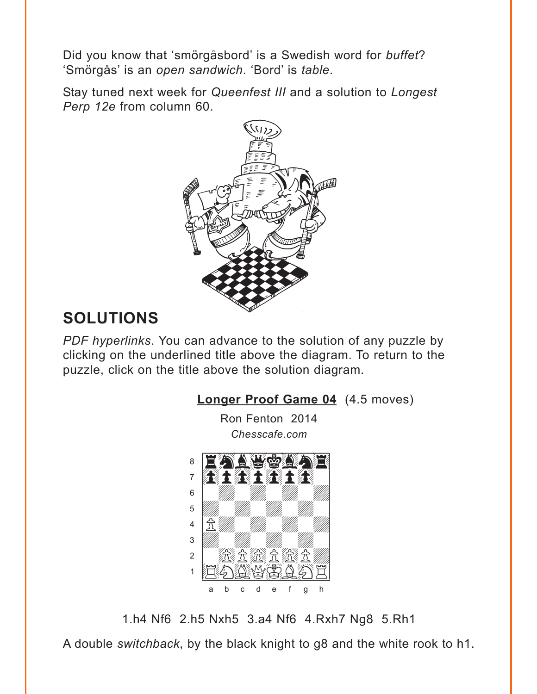<span id="page-5-0"></span>Did you know that 'smörgåsbord' is a Swedish word for buffet? 'Smörgås' is an open sandwich. 'Bord' is table.

Stay tuned next week for Queenfest III and a solution to Longest Perp 12e from column 60.



# **SOLUTIONS**

PDF hyperlinks. You can advance to the solution of any puzzle by clicking on the underlined title above the diagram. To return to the puzzle, click on the title above the solution diagram.



1.h4 Nf6 2.h5 Nxh5 3.a4 Nf6 4.Rxh7 Ng8 5.Rh1

A double switchback, by the black knight to g8 and the white rook to h1.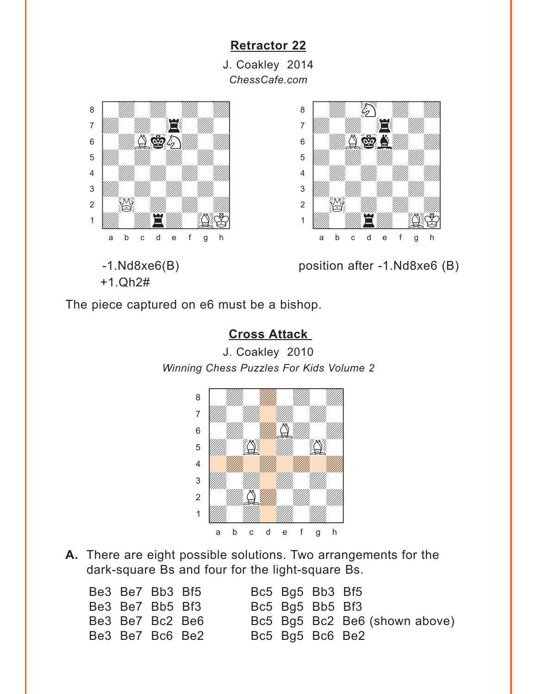#### **[Retractor 22](#page-2-0)**

J. Coakley 2014 *ChessCafe.com*



<span id="page-6-0"></span>where  $\frac{1}{2}$  is the set of the set of the set of the set of the set of the set of the set of the set of the set of the set of the set of the set of the set of the set of the set of the set of the set of the set of the

+1.Qh2#



-1.Nd8xe6(B) position after -1.Nd8xe6 (B)

The piece captured on e6 must be a bishop.

### **[Cross Attack](#page-2-0)**

J. Coakley 2010 *Winning Chess Puzzles For Kids Volume 2*



**A.** There are eight possible solutions. Two arrangements for the dark-square Bs and four for the light-square Bs.

| Be3 Be7 Bb3 Bf5 |  | Bc5 Bg5 Bb3 Bf5 |                               |
|-----------------|--|-----------------|-------------------------------|
| Be3 Be7 Bb5 Bf3 |  | Bc5 Bg5 Bb5 Bf3 |                               |
| Be3 Be7 Bc2 Be6 |  |                 | Bc5 Bg5 Bc2 Be6 (shown above) |
| Be3 Be7 Bc6 Be2 |  | Bc5 Bg5 Bc6 Be2 |                               |
|                 |  |                 |                               |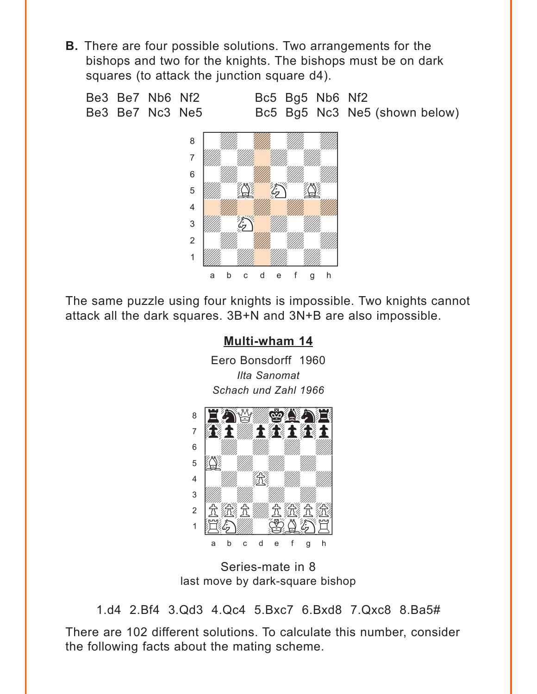<span id="page-7-0"></span>**B.** There are four possible solutions. Two arrangements for the bishops and two for the knights. The bishops must be on dark squares (to attack the junction square d4).



The same puzzle using four knights is impossible. Two knights cannot attack all the dark squares. 3B+N and 3N+B are also impossible.

## **Multi-wham 14** Eero Bonsdorff 1960 **Ilta Sanomat** Schach und Zahl 1966



Series-mate in 8 last move by dark-square bishop

1.d4 2.Bf4 3.Qd3 4.Qc4 5.Bxc7 6.Bxd8 7.Qxc8 8.Ba5#

There are 102 different solutions. To calculate this number, consider the following facts about the mating scheme.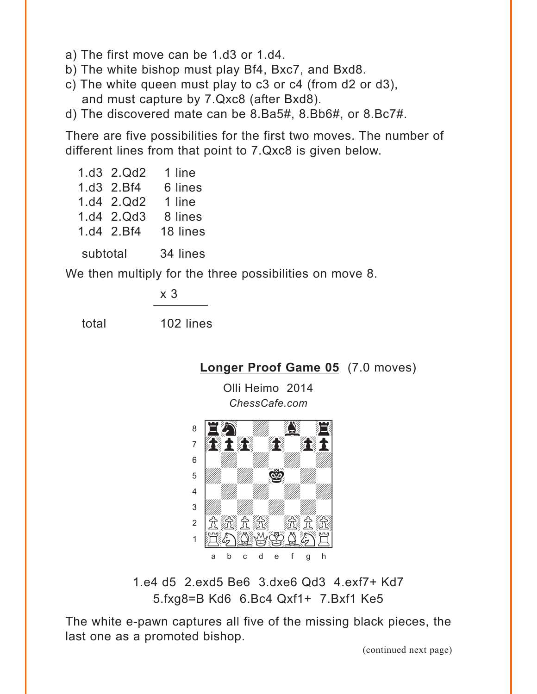<span id="page-8-0"></span>a) The first move can be 1.d3 or 1.d4.

b) The white bishop must play Bf4, Bxc7, and Bxd8.

- c) The white queen must play to c3 or c4 (from d2 or d3), and must capture by 7.Qxc8 (after Bxd8).
- d) The discovered mate can be 8.Ba5#, 8.Bb6#, or 8.Bc7#.

There are five possibilities for the first two moves. The number of different lines from that point to 7.Qxc8 is given below.

1.d3 2.Qd2 1 line 1.d3 2.Bf4 6 lines 1.d4 2.Qd2 1 line 1.d4 2.Qd3 8 lines 1.d4 2.Bf4 18 lines subtotal 34 lines

We then multiply for the three possibilities on move 8.

x 3

total 102 lines

**[Longer Proof Game 05](#page-4-0)** (7.0 moves)

Olli Heimo 2014 *ChessCafe.com*



1.e4 d5 2.exd5 Be6 3.dxe6 Qd3 4.exf7+ Kd7 5.fxg8=B Kd6 6.Bc4 Qxf1+ 7.Bxf1 Ke5

The white e-pawn captures all five of the missing black pieces, the last one as a promoted bishop.

(continued next page)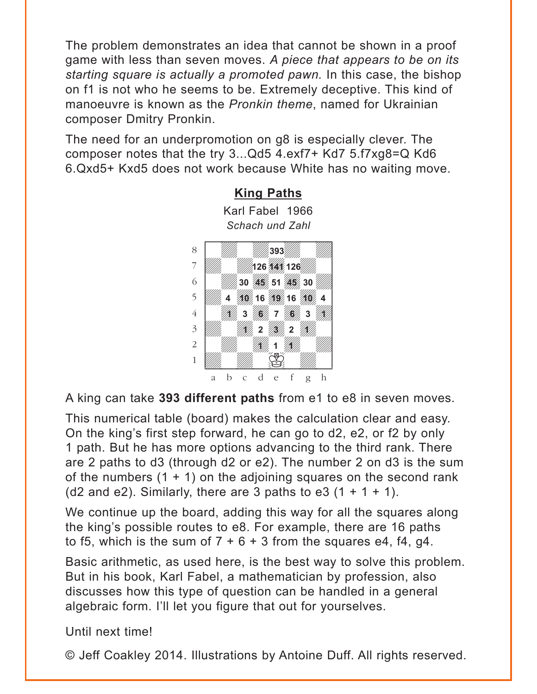<span id="page-9-0"></span>The problem demonstrates an idea that cannot be shown in a proof game with less than seven moves. *A piece that appears to be on its starting square is actually a promoted pawn.* In this case, the bishop on f1 is not who he seems to be. Extremely deceptive. This kind of manoeuvre is known as the *Pronkin theme*, named for Ukrainian composer Dmitry Pronkin.

The need for an underpromotion on g8 is especially clever. The composer notes that the try 3...Qd5 4.exf7+ Kd7 5.f7xg8=Q Kd6 6.Qxd5+ Kxd5 does not work because White has no waiting move.



**[King Paths](#page-4-0)** Karl Fabel 1966 *Schach und Zahl* 

A king can take **393 different paths** from e1 to e8 in seven moves.

This numerical table (board) makes the calculation clear and easy. On the king's first step forward, he can go to d2, e2, or f2 by only 1 path. But he has more options advancing to the third rank. There are 2 paths to d3 (through d2 or e2). The number 2 on d3 is the sum of the numbers  $(1 + 1)$  on the adjoining squares on the second rank (d2 and e2). Similarly, there are 3 paths to e3  $(1 + 1 + 1)$ .

We continue up the board, adding this way for all the squares along the king's possible routes to e8. For example, there are 16 paths to f5, which is the sum of  $7 + 6 + 3$  from the squares e4, f4, g4.

Basic arithmetic, as used here, is the best way to solve this problem. But in his book, Karl Fabel, a mathematician by profession, also discusses how this type of question can be handled in a general algebraic form. I'll let you figure that out for yourselves.

Until next time!

© Jeff Coakley 2014. Illustrations by Antoine Duff. All rights reserved.